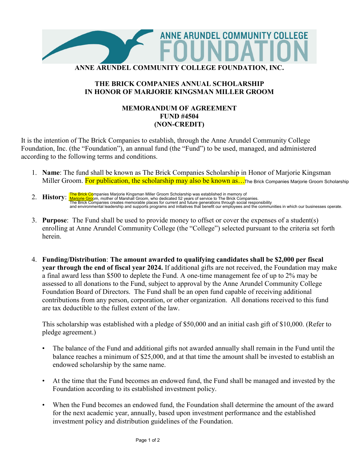

## **THE BRICK COMPANIES ANNUAL SCHOLARSHIP IN HONOR OF MARJORIE KINGSMAN MILLER GROOM**

## **MEMORANDUM OF AGREEMENT FUND #4504 (NON-CREDIT)**

It is the intention of The Brick Companies to establish, through the Anne Arundel Community College Foundation, Inc. (the "Foundation"), an annual fund (the "Fund") to be used, managed, and administered according to the following terms and conditions.

- 1. **Name**: The fund shall be known as The Brick Companies Scholarship in Honor of Marjorie Kingsman Miller Groom. <mark>For publication, the scholarship may also be known as…</mark> The Brick Companies Marjorie Groom Scholarship
- **2. History: <mark>The Brick Co</mark>mpanies Marjorie Kingsman Miller Groom Scholarship was established in memory of**<br>2**. History: <u>Marjorie Gro</u>om, mother of Marshall Groom, who dedicated 52 years of service to The Bric** and environmental leadership and supports programs and initiatives that benefit our employees and the communities in which our businesses operate.
- 3. **Purpose**: The Fund shall be used to provide money to offset or cover the expenses of a student(s) enrolling at Anne Arundel Community College (the "College") selected pursuant to the criteria set forth herein.
- 4. **Funding/Distribution**: **The amount awarded to qualifying candidates shall be \$2,000 per fiscal year through the end of fiscal year 2024.** If additional gifts are not received, the Foundation may make a final award less than \$500 to deplete the Fund. A one-time management fee of up to 2% may be assessed to all donations to the Fund, subject to approval by the Anne Arundel Community College Foundation Board of Directors. The Fund shall be an open fund capable of receiving additional contributions from any person, corporation, or other organization. All donations received to this fund are tax deductible to the fullest extent of the law.

This scholarship was established with a pledge of \$50,000 and an initial cash gift of \$10,000. (Refer to pledge agreement.)

- The balance of the Fund and additional gifts not awarded annually shall remain in the Fund until the balance reaches a minimum of \$25,000, and at that time the amount shall be invested to establish an endowed scholarship by the same name.
- At the time that the Fund becomes an endowed fund, the Fund shall be managed and invested by the Foundation according to its established investment policy.
- When the Fund becomes an endowed fund, the Foundation shall determine the amount of the award for the next academic year, annually, based upon investment performance and the established investment policy and distribution guidelines of the Foundation.